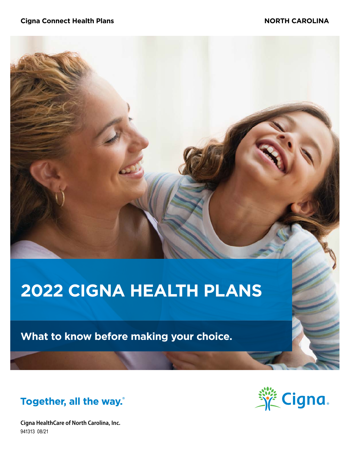# **2022 CIGNA HEALTH PLANS**

**What to know before making your choice.**

Together, all the way.

**Cigna HealthCare of North Carolina, Inc.** 941313 08/21

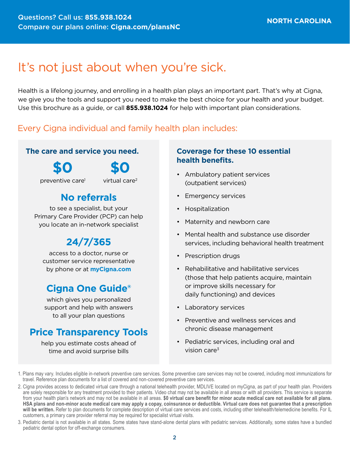# It's not just about when you're sick.

Health is a lifelong journey, and enrolling in a health plan plays an important part. That's why at Cigna, we give you the tools and support you need to make the best choice for your health and your budget. Use this brochure as a guide, or call **855.938.1024** for help with important plan considerations.

### Every Cigna individual and family health plan includes:

### **The care and service you need.**

**\$0**

**\$0**

preventive care1

virtual care2

### **No referrals**

to see a specialist, but your Primary Care Provider (PCP) can help you locate an in-network specialist

# **24/7/365**

access to a doctor, nurse or customer service representative by phone or at **[myCigna.com](http://myCigna.com)**

### **Cigna One Guide®**

which gives you personalized support and help with answers to all your plan questions

### **Price Transparency Tools**

help you estimate costs ahead of time and avoid surprise bills

### **Coverage for these 10 essential health benefits.**

- Ambulatory patient services (outpatient services)
- Emergency services
- Hospitalization
- Maternity and newborn care
- Mental health and substance use disorder services, including behavioral health treatment
- Prescription drugs
- Rehabilitative and habilitative services (those that help patients acquire, maintain or improve skills necessary for daily functioning) and devices
- Laboratory services
- Preventive and wellness services and chronic disease management
- Pediatric services, including oral and vision care $3$

3. Pediatric dental is not available in all states. Some states have stand-alone dental plans with pediatric services. Additionally, some states have a bundled pediatric dental option for off-exchange consumers.

<sup>1.</sup> Plans may vary. Includes eligible in-network preventive care services. Some preventive care services may not be covered, including most immunizations for travel. Reference plan documents for a list of covered and non-covered preventive care services.

<sup>2.</sup> Cigna provides access to dedicated virtual care through a national telehealth provider, MDLIVE located on myCigna, as part of your health plan. Providers are solely responsible for any treatment provided to their patients. Video chat may not be available in all areas or with all providers. This service is separate from your health plan's network and may not be available in all areas. **\$0 virtual care benefit for minor acute medical care not available for all plans. HSA plans and non-minor acute medical care may apply a copay, coinsurance or deductible. Virtual care does not guarantee that a prescription will be written.** Refer to plan documents for complete description of virtual care services and costs, including other telehealth/telemedicine benefits. For IL customers, a primary care provider referral may be required for specialist virtual visits.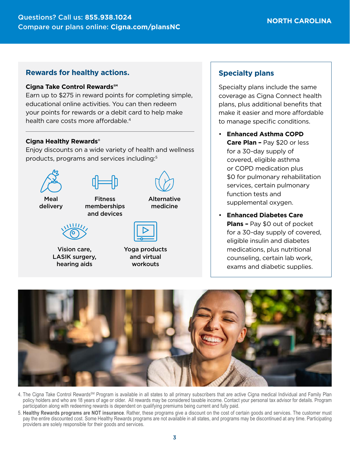### **Rewards for healthy actions.**

#### **Cigna Take Control Rewards℠**

Earn up to \$275 in reward points for completing simple, educational online activities. You can then redeem your points for rewards or a debit card to help make health care costs more affordable.<sup>4</sup>

#### **Cigna Healthy Rewards®**

Enjoy discounts on a wide variety of health and wellness products, programs and services including:5



Vision care, LASIK surgery, hearing aids

|  | $\equiv$     |  |
|--|--------------|--|
|  |              |  |
|  | ga produc    |  |
|  | leutvivt hne |  |

Yoga products and virtual workouts

### **Specialty plans**

Specialty plans include the same coverage as Cigna Connect health plans, plus additional benefits that make it easier and more affordable to manage specific conditions.

- **Enhanced Asthma COPD Care Plan –** Pay \$20 or less for a 30-day supply of covered, eligible asthma or COPD medication plus \$0 for pulmonary rehabilitation services, certain pulmonary function tests and supplemental oxygen.
- **Enhanced Diabetes Care Plans –** Pay \$0 out of pocket for a 30-day supply of covered, eligible insulin and diabetes medications, plus nutritional counseling, certain lab work, exams and diabetic supplies.



- 4. The Cigna Take Control Rewards<sup>SM</sup> Program is available in all states to all primary subscribers that are active Cigna medical Individual and Family Plan policy holders and who are 18 years of age or older. All rewards may be considered taxable income. Contact your personal tax advisor for details. Program participation along with redeeming rewards is dependent on qualifying premiums being current and fully paid.
- 5. **Healthy Rewards programs are NOT insurance**. Rather, these programs give a discount on the cost of certain goods and services. The customer must pay the entire discounted cost. Some Healthy Rewards programs are not available in all states, and programs may be discontinued at any time. Participating providers are solely responsible for their goods and services.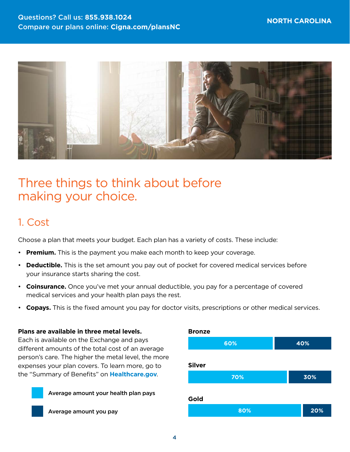

# Three things to think about before making your choice.

### 1. Cost

Choose a plan that meets your budget. Each plan has a variety of costs. These include:

- **Premium.** This is the payment you make each month to keep your coverage.
- **Deductible.** This is the set amount you pay out of pocket for covered medical services before your insurance starts sharing the cost.
- **Coinsurance.** Once you've met your annual deductible, you pay for a percentage of covered medical services and your health plan pays the rest.
- **Copays.** This is the fixed amount you pay for doctor visits, prescriptions or other medical services.

#### **Plans are available in three metal levels.**

Each is available on the Exchange and pays different amounts of the total cost of an average person's care. The higher the metal level, the more expenses your plan covers. To learn more, go to the "Summary of Benefits" on **[Healthcare.gov](http://Healthcare.gov)**.



Average amount you pay

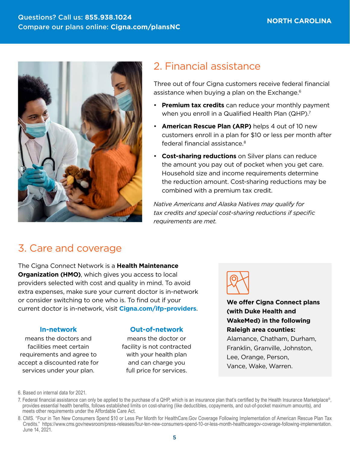

### 2. Financial assistance

Three out of four Cigna customers receive federal financial assistance when buying a plan on the Exchange.<sup>6</sup>

- **Premium tax credits** can reduce your monthly payment when you enroll in a Qualified Health Plan (QHP).<sup>7</sup>
- **American Rescue Plan (ARP)** helps 4 out of 10 new customers enroll in a plan for \$10 or less per month after federal financial assistance.8
- **Cost-sharing reductions** on Silver plans can reduce the amount you pay out of pocket when you get care. Household size and income requirements determine the reduction amount. Cost-sharing reductions may be combined with a premium tax credit.

*Native Americans and Alaska Natives may qualify for tax credits and special cost-sharing reductions if specific requirements are met.*

# 3. Care and coverage

The Cigna Connect Network is a **Health Maintenance Organization (HMO)**, which gives you access to local providers selected with cost and quality in mind. To avoid extra expenses, make sure your current doctor is in-network or consider switching to one who is. To find out if your current doctor is in-network, visit **[Cigna.com/ifp-providers](https://www.Cigna.com/ifp-providers)**.

#### **In-network**

means the doctors and facilities meet certain requirements and agree to accept a discounted rate for services under your plan.

#### **Out-of-network**

means the doctor or facility is not contracted with your health plan and can charge you full price for services.



**We offer Cigna Connect plans (with Duke Health and WakeMed) in the following Raleigh area counties:**  Alamance, Chatham, Durham, Franklin, Granville, Johnston, Lee, Orange, Person, Vance, Wake, Warren.

<sup>6.</sup> Based on internal data for 2021.

<sup>7.</sup> Federal financial assistance can only be applied to the purchase of a QHP, which is an insurance plan that's certified by the Health Insurance Marketplace®, provides essential health benefits, follows established limits on cost-sharing (like deductibles, copayments, and out-of-pocket maximum amounts), and meets other requirements under the Affordable Care Act.

<sup>8.</sup> CMS. "Four in Ten New Consumers Spend \$10 or Less Per Month for HealthCare.Gov Coverage Following Implementation of American Rescue Plan Tax Credits." <https://www.cms.gov/newsroom/press-releases/four-ten-new-consumers-spend-10-or-less-month-healthcaregov-coverage-following-implementation>. June 14, 2021.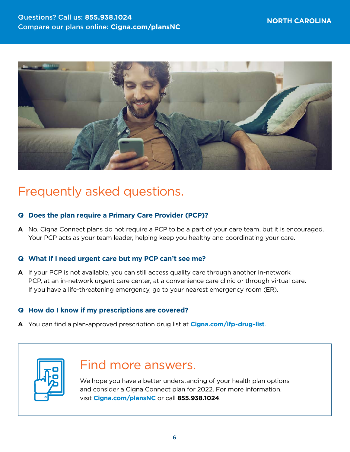

# Frequently asked questions.

### **Q Does the plan require a Primary Care Provider (PCP)?**

**A** No, Cigna Connect plans do not require a PCP to be a part of your care team, but it is encouraged. Your PCP acts as your team leader, helping keep you healthy and coordinating your care.

### **Q What if I need urgent care but my PCP can't see me?**

**A** If your PCP is not available, you can still access quality care through another in-network PCP, at an in-network urgent care center, at a convenience care clinic or through virtual care. If you have a life-threatening emergency, go to your nearest emergency room (ER).

### **Q How do I know if my prescriptions are covered?**

**A** You can find a plan-approved prescription drug list at **[Cigna.com/ifp-drug-list](http://Cigna.com/ifp-drug-list)**.



# Find more answers.

We hope you have a better understanding of your health plan options and consider a Cigna Connect plan for 2022. For more information, visit **[Cigna.com/plansNC](http://Cigna.com/plansNC)** or call **855.938.1024**.